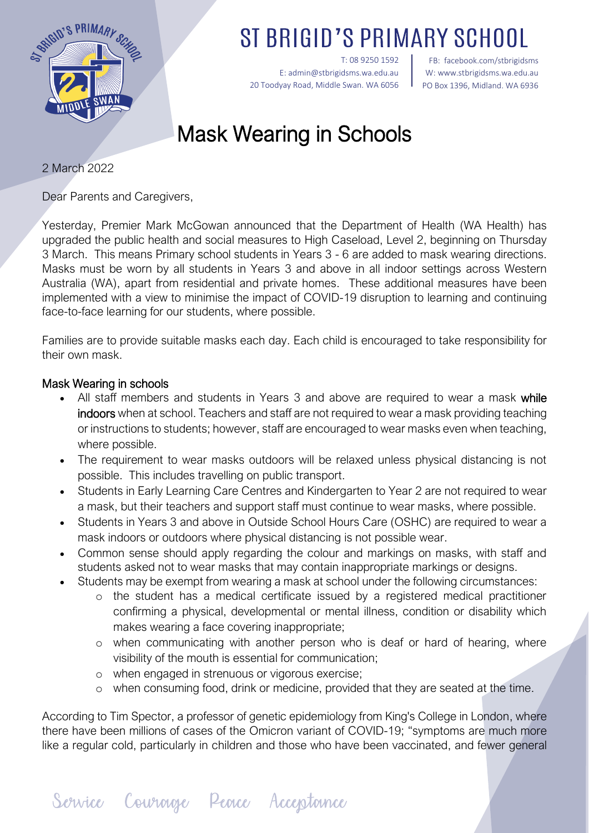

ST BRIGID'S PRIMARY SCH

T: 08 9250 1592 E: admin@stbrigidsms.wa.edu.au 20 Toodyay Road, Middle Swan. WA 6056

FB: facebook.com/stbrigidsms W[: www.stbrigidsms.wa.edu.au](http://www.stbrigidsms.wa.edu.au/) PO Box 1396, Midland. WA 6936

## Mask Wearing in Schools

2 March 2022

Dear Parents and Caregivers,

Yesterday, Premier Mark McGowan announced that the Department of Health (WA Health) has upgraded the public health and social measures to High Caseload, Level 2, beginning on Thursday 3 March. This means Primary school students in Years 3 - 6 are added to mask wearing directions. Masks must be worn by all students in Years 3 and above in all indoor settings across Western Australia (WA), apart from residential and private homes. These additional measures have been implemented with a view to minimise the impact of COVID-19 disruption to learning and continuing face-to-face learning for our students, where possible.

Families are to provide suitable masks each day. Each child is encouraged to take responsibility for their own mask.

## Mask Wearing in schools

- All staff members and students in Years 3 and above are required to wear a mask while indoors when at school. Teachers and staff are not required to wear a mask providing teaching or instructions to students; however, staff are encouraged to wear masks even when teaching, where possible.
- The requirement to wear masks outdoors will be relaxed unless physical distancing is not possible. This includes travelling on public transport.
- Students in Early Learning Care Centres and Kindergarten to Year 2 are not required to wear a mask, but their teachers and support staff must continue to wear masks, where possible.
- Students in Years 3 and above in Outside School Hours Care (OSHC) are required to wear a mask indoors or outdoors where physical distancing is not possible wear.
- Common sense should apply regarding the colour and markings on masks, with staff and students asked not to wear masks that may contain inappropriate markings or designs.
- Students may be exempt from wearing a mask at school under the following circumstances:
	- o the student has a medical certificate issued by a registered medical practitioner confirming a physical, developmental or mental illness, condition or disability which makes wearing a face covering inappropriate;
	- o when communicating with another person who is deaf or hard of hearing, where visibility of the mouth is essential for communication;
	- o when engaged in strenuous or vigorous exercise;
	- o when consuming food, drink or medicine, provided that they are seated at the time.

According to Tim Spector, a professor of genetic epidemiology from King's College in London, where there have been millions of cases of the Omicron variant of COVID-19; "symptoms are much more like a regular cold, particularly in children and those who have been vaccinated, and fewer general